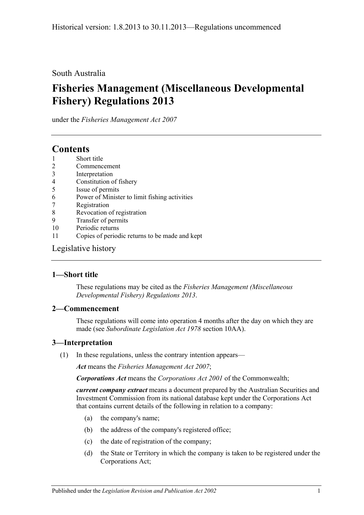### South Australia

# **Fisheries Management (Miscellaneous Developmental Fishery) Regulations 2013**

under the *Fisheries Management Act 2007*

## **Contents**

- 1 [Short title](#page-0-0)
- 2 [Commencement](#page-0-1)
- 3 [Interpretation](#page-0-2)
- 4 [Constitution of fishery](#page-1-0)
- 5 [Issue of permits](#page-1-1)
- 6 [Power of Minister to limit fishing activities](#page-2-0)
- 7 [Registration](#page-2-1)
- 8 Revocation [of registration](#page-2-2)
- 9 [Transfer of permits](#page-2-3)
- 10 [Periodic returns](#page-3-0)
- 11 [Copies of periodic returns to be made and kept](#page-3-1)

## [Legislative history](#page-4-0)

## <span id="page-0-0"></span>**1—Short title**

These regulations may be cited as the *Fisheries Management (Miscellaneous Developmental Fishery) Regulations 2013*.

#### <span id="page-0-1"></span>**2—Commencement**

These regulations will come into operation 4 months after the day on which they are made (see *[Subordinate Legislation Act](http://www.legislation.sa.gov.au/index.aspx?action=legref&type=act&legtitle=Subordinate%20Legislation%20Act%201978) 1978* section 10AA).

## <span id="page-0-2"></span>**3—Interpretation**

(1) In these regulations, unless the contrary intention appears—

*Act* means the *[Fisheries Management Act](http://www.legislation.sa.gov.au/index.aspx?action=legref&type=act&legtitle=Fisheries%20Management%20Act%202007) 2007*;

*Corporations Act* means the *Corporations Act 2001* of the Commonwealth;

*current company extract* means a document prepared by the Australian Securities and Investment Commission from its national database kept under the Corporations Act that contains current details of the following in relation to a company:

- (a) the company's name;
- (b) the address of the company's registered office;
- (c) the date of registration of the company;
- (d) the State or Territory in which the company is taken to be registered under the Corporations Act;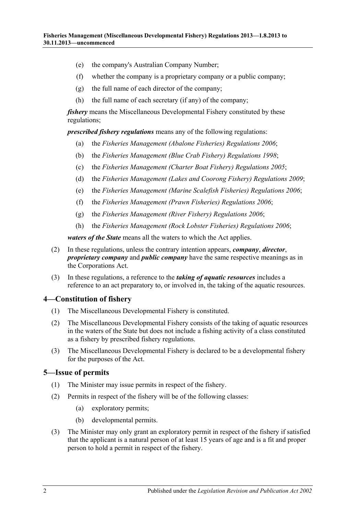- (e) the company's Australian Company Number;
- (f) whether the company is a proprietary company or a public company;
- (g) the full name of each director of the company;
- (h) the full name of each secretary (if any) of the company;

*fishery* means the Miscellaneous Developmental Fishery constituted by these regulations;

*prescribed fishery regulations* means any of the following regulations:

- (a) the *[Fisheries Management \(Abalone Fisheries\) Regulations](http://www.legislation.sa.gov.au/index.aspx?action=legref&type=subordleg&legtitle=Fisheries%20Management%20(Abalone%20Fisheries)%20Regulations%202006) 2006*;
- (b) the *[Fisheries Management \(Blue Crab Fishery\) Regulations](http://www.legislation.sa.gov.au/index.aspx?action=legref&type=subordleg&legtitle=Fisheries%20Management%20(Blue%20Crab%20Fishery)%20Regulations%201998) 1998*;
- (c) the *[Fisheries Management \(Charter Boat Fishery\) Regulations](http://www.legislation.sa.gov.au/index.aspx?action=legref&type=subordleg&legtitle=Fisheries%20Management%20(Charter%20Boat%20Fishery)%20Regulations%202005) 2005*;
- (d) the *[Fisheries Management \(Lakes and Coorong Fishery\) Regulations](http://www.legislation.sa.gov.au/index.aspx?action=legref&type=subordleg&legtitle=Fisheries%20Management%20(Lakes%20and%20Coorong%20Fishery)%20Regulations%202009) 2009*;
- (e) the *[Fisheries Management \(Marine Scalefish Fisheries\) Regulations](http://www.legislation.sa.gov.au/index.aspx?action=legref&type=subordleg&legtitle=Fisheries%20Management%20(Marine%20Scalefish%20Fisheries)%20Regulations%202006) 2006*;
- (f) the *[Fisheries Management \(Prawn Fisheries\) Regulations](http://www.legislation.sa.gov.au/index.aspx?action=legref&type=subordleg&legtitle=Fisheries%20Management%20(Prawn%20Fisheries)%20Regulations%202006) 2006*;
- (g) the *[Fisheries Management \(River Fishery\) Regulations](http://www.legislation.sa.gov.au/index.aspx?action=legref&type=subordleg&legtitle=Fisheries%20Management%20(River%20Fishery)%20Regulations%202006) 2006*;
- (h) the *[Fisheries Management \(Rock Lobster Fisheries\) Regulations](http://www.legislation.sa.gov.au/index.aspx?action=legref&type=subordleg&legtitle=Fisheries%20Management%20(Rock%20Lobster%20Fisheries)%20Regulations%202006) 2006*;

*waters of the State* means all the waters to which the Act applies.

- (2) In these regulations, unless the contrary intention appears, *company*, *director*, *proprietary company* and *public company* have the same respective meanings as in the Corporations Act.
- (3) In these regulations, a reference to the *taking of aquatic resources* includes a reference to an act preparatory to, or involved in, the taking of the aquatic resources.

#### <span id="page-1-0"></span>**4—Constitution of fishery**

- (1) The Miscellaneous Developmental Fishery is constituted.
- (2) The Miscellaneous Developmental Fishery consists of the taking of aquatic resources in the waters of the State but does not include a fishing activity of a class constituted as a fishery by prescribed fishery regulations.
- (3) The Miscellaneous Developmental Fishery is declared to be a developmental fishery for the purposes of the Act.

#### <span id="page-1-1"></span>**5—Issue of permits**

- (1) The Minister may issue permits in respect of the fishery.
- (2) Permits in respect of the fishery will be of the following classes:
	- (a) exploratory permits;
	- (b) developmental permits.
- (3) The Minister may only grant an exploratory permit in respect of the fishery if satisfied that the applicant is a natural person of at least 15 years of age and is a fit and proper person to hold a permit in respect of the fishery.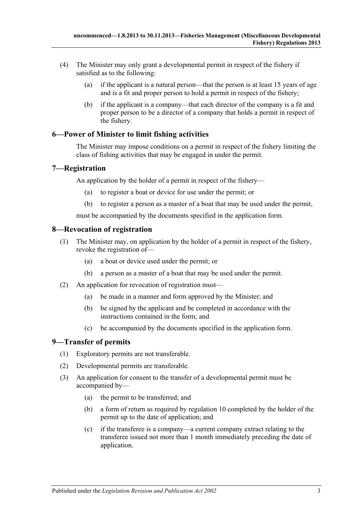- (4) The Minister may only grant a developmental permit in respect of the fishery if satisfied as to the following:
	- (a) if the applicant is a natural person—that the person is at least 15 years of age and is a fit and proper person to hold a permit in respect of the fishery;
	- (b) if the applicant is a company—that each director of the company is a fit and proper person to be a director of a company that holds a permit in respect of the fishery.

## <span id="page-2-0"></span>**6—Power of Minister to limit fishing activities**

The Minister may impose conditions on a permit in respect of the fishery limiting the class of fishing activities that may be engaged in under the permit.

#### <span id="page-2-1"></span>**7—Registration**

An application by the holder of a permit in respect of the fishery—

- (a) to register a boat or device for use under the permit; or
- (b) to register a person as a master of a boat that may be used under the permit,

must be accompanied by the documents specified in the application form.

#### <span id="page-2-2"></span>**8—Revocation of registration**

- (1) The Minister may, on application by the holder of a permit in respect of the fishery, revoke the registration of—
	- (a) a boat or device used under the permit; or
	- (b) a person as a master of a boat that may be used under the permit.
- (2) An application for revocation of registration must—
	- (a) be made in a manner and form approved by the Minister; and
	- (b) be signed by the applicant and be completed in accordance with the instructions contained in the form; and
	- (c) be accompanied by the documents specified in the application form.

## <span id="page-2-3"></span>**9—Transfer of permits**

- (1) Exploratory permits are not transferable.
- (2) Developmental permits are transferable.
- (3) An application for consent to the transfer of a developmental permit must be accompanied by—
	- (a) the permit to be transferred; and
	- (b) a form of return as required by [regulation](#page-3-0) 10 completed by the holder of the permit up to the date of application; and
	- (c) if the transferee is a company—a current company extract relating to the transferee issued not more than 1 month immediately preceding the date of application.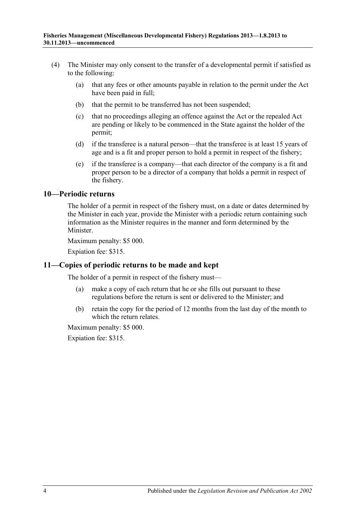- (4) The Minister may only consent to the transfer of a developmental permit if satisfied as to the following:
	- (a) that any fees or other amounts payable in relation to the permit under the Act have been paid in full;
	- (b) that the permit to be transferred has not been suspended;
	- (c) that no proceedings alleging an offence against the Act or the repealed Act are pending or likely to be commenced in the State against the holder of the permit;
	- (d) if the transferee is a natural person—that the transferee is at least 15 years of age and is a fit and proper person to hold a permit in respect of the fishery;
	- (e) if the transferee is a company—that each director of the company is a fit and proper person to be a director of a company that holds a permit in respect of the fishery.

#### <span id="page-3-0"></span>**10—Periodic returns**

The holder of a permit in respect of the fishery must, on a date or dates determined by the Minister in each year, provide the Minister with a periodic return containing such information as the Minister requires in the manner and form determined by the Minister.

Maximum penalty: \$5 000.

Expiation fee: \$315.

#### <span id="page-3-1"></span>**11—Copies of periodic returns to be made and kept**

The holder of a permit in respect of the fishery must—

- (a) make a copy of each return that he or she fills out pursuant to these regulations before the return is sent or delivered to the Minister; and
- (b) retain the copy for the period of 12 months from the last day of the month to which the return relates.

Maximum penalty: \$5 000.

Expiation fee: \$315.